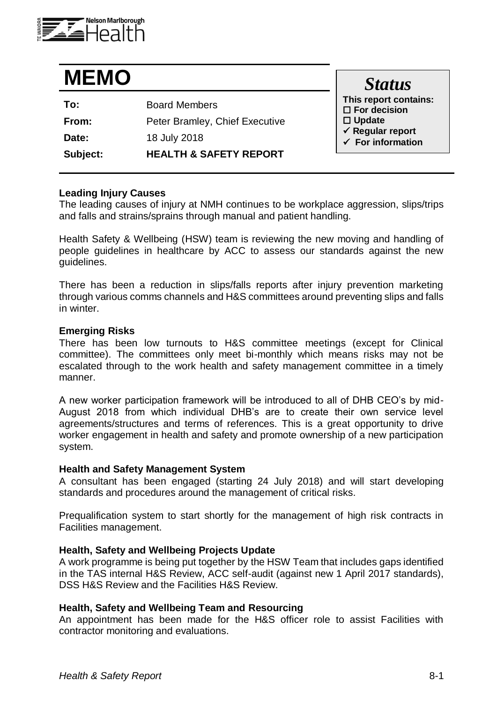

# **MEMO**

| To:      | <b>Board Members</b>              |
|----------|-----------------------------------|
| From:    | Peter Bramley, Chief Executive    |
| Date:    | 18 July 2018                      |
| Subject: | <b>HEALTH &amp; SAFETY REPORT</b> |

*Status* **This report contains: For decision Update Regular report For information**

#### **Leading Injury Causes**

The leading causes of injury at NMH continues to be workplace aggression, slips/trips and falls and strains/sprains through manual and patient handling.

Health Safety & Wellbeing (HSW) team is reviewing the new moving and handling of people guidelines in healthcare by ACC to assess our standards against the new guidelines.

There has been a reduction in slips/falls reports after injury prevention marketing through various comms channels and H&S committees around preventing slips and falls in winter.

#### **Emerging Risks**

There has been low turnouts to H&S committee meetings (except for Clinical committee). The committees only meet bi-monthly which means risks may not be escalated through to the work health and safety management committee in a timely manner.

A new worker participation framework will be introduced to all of DHB CEO's by mid-August 2018 from which individual DHB's are to create their own service level agreements/structures and terms of references. This is a great opportunity to drive worker engagement in health and safety and promote ownership of a new participation system.

#### **Health and Safety Management System**

A consultant has been engaged (starting 24 July 2018) and will start developing standards and procedures around the management of critical risks.

Prequalification system to start shortly for the management of high risk contracts in Facilities management.

#### **Health, Safety and Wellbeing Projects Update**

A work programme is being put together by the HSW Team that includes gaps identified in the TAS internal H&S Review, ACC self-audit (against new 1 April 2017 standards), DSS H&S Review and the Facilities H&S Review.

#### **Health, Safety and Wellbeing Team and Resourcing**

An appointment has been made for the H&S officer role to assist Facilities with contractor monitoring and evaluations.